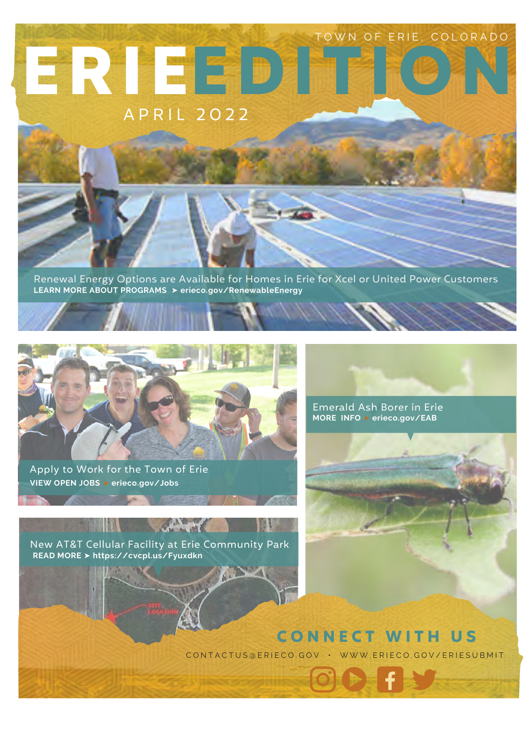# A P R I L 2 0 2 2 **EDITION ERIE** TOWN OF ERIE, COLORADO

Renewal Energy Options are Available for Homes in Erie for Xcel or United Power Customers **LEARN MORE ABOUT PROGRAMS** ➤ **erieco.gov/RenewableEnergy**



Apply to Work for the Town of Erie **VIEW OPEN JOBS** ➤ **erieco.gov/Jobs**

New AT&T Cellular Facility at Erie Community Park **READ MORE** ➤ **<https://cvcpl.us/Fyuxdkn>**

Charles Ha



Emerald Ash Borer in Erie **MORE INFO** ➤ **erieco.gov/EAB**

#### **CONNECT WITH US**

CONTACTUS@ERIECO.GOV · WWW.ERIECO.GOV/ERIESUBMIT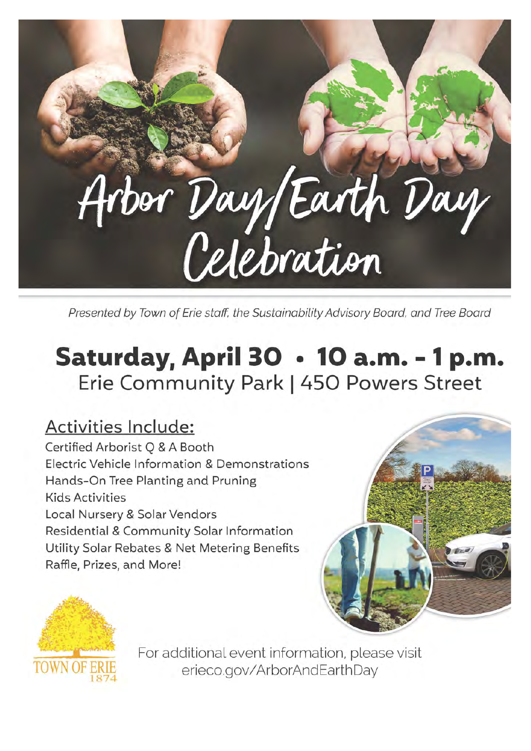

Presented by Town of Erie staff, the Sustainability Advisory Board, and Tree Board

## Saturday, April 30 · 10 a.m. - 1 p.m. Erie Community Park | 450 Powers Street

#### **Activities Include:**

Certified Arborist Q & A Booth Electric Vehicle Information & Demonstrations Hands-On Tree Planting and Pruning **Kids Activities** Local Nursery & Solar Vendors Residential & Community Solar Information Utility Solar Rebates & Net Metering Benefits Raffle, Prizes, and More!





For additional event information, please visit erieco.gov/ArborAndEarthDay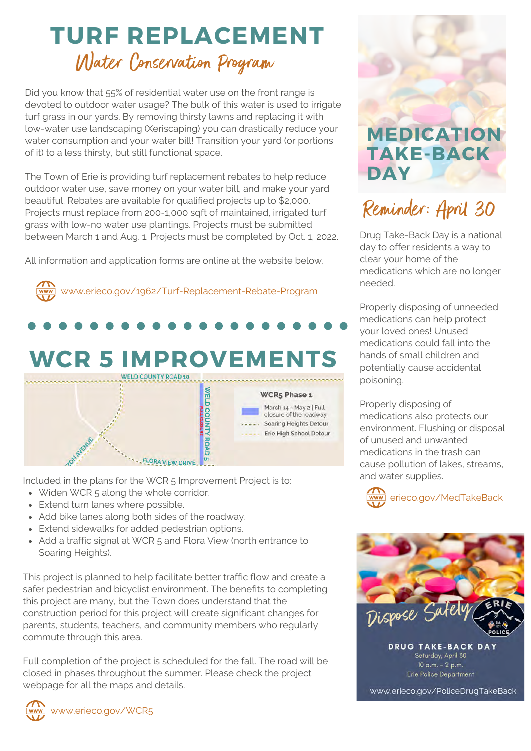## **TURF REPLACEMENT** Water Conservation Program

Did you know that 55% of residential water use on the front range is devoted to outdoor water usage? The bulk of this water is used to irrigate turf grass in our yards. By removing thirsty lawns and replacing it with low-water use landscaping (Xeriscaping) you can drastically reduce your water consumption and your water bill! Transition your yard (or portions of it) to a less thirsty, but still functional space.

The Town of Erie is providing turf replacement rebates to help reduce outdoor water use, save money on your water bill, and make your yard beautiful. Rebates are available for qualified projects up to \$2,000. Projects must replace from 200-1,000 sqft of maintained, irrigated turf grass with low-no water use plantings. Projects must be submitted between March 1 and Aug. 1. Projects must be completed by Oct. 1, 2022.

All information and application forms are online at the website below.



Included in the plans for the WCR 5 Improvement Project is to:

- Widen WCR 5 along the whole corridor.
- Extend turn lanes where possible.
- Add bike lanes along both sides of the roadway.
- Extend sidewalks for added pedestrian options.
- Add a traffic signal at WCR 5 and Flora View (north entrance to Soaring Heights).

This project is planned to help facilitate better traffic flow and create a safer pedestrian and bicyclist environment. The benefits to completing this project are many, but the Town does understand that the construction period for this project will create significant changes for parents, students, teachers, and community members who regularly commute through this area.

Full completion of the project is scheduled for the fall. The road will be closed in phases throughout the summer. Please check the project webpage for all the maps and details.



**MEDICATION TAKE-BACK DAY**

## Reminder: April 30

Drug Take-Back Day is a national day to offer residents a way to clear your home of the medications which are no longer needed.

Properly disposing of unneeded medications can help protect your loved ones! Unused medications could fall into the hands of small children and potentially cause accidental poisoning.

Properly disposing of medications also protects our environment. Flushing or disposal of unused and unwanted medications in the trash can cause pollution of lakes, streams, and water supplies.





www.erieco.gov/PoliceDrugTakeBack